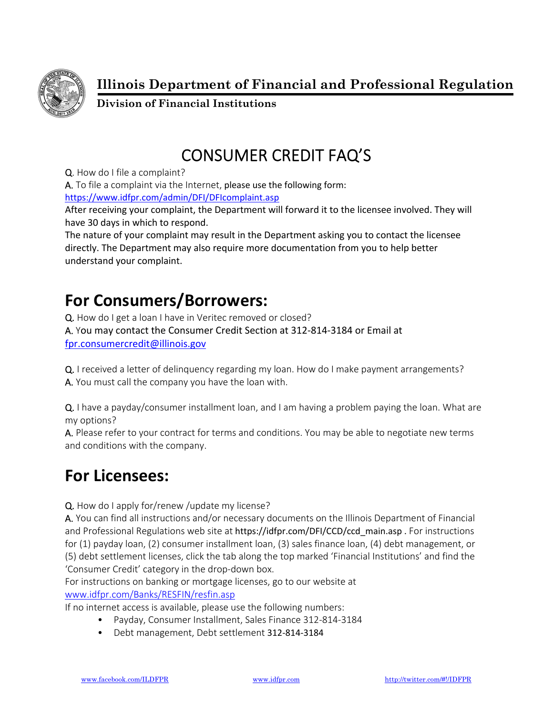

**Illinois Department of Financial and Professional Regulation** 

**Division of Financial Institutions** 

## CONSUMER CREDIT FAQ'S

Q. How do I file a complaint?

A. To file a complaint via the Internet, please use the following form:

https://www.idfpr.com/admin/DFI/DFIcomplaint.asp

After receiving your complaint, the Department will forward it to the licensee involved. They will have 30 days in which to respond.

The nature of your complaint may result in the Department asking you to contact the licensee directly. The Department may also require more documentation from you to help better understand your complaint.

## **For Consumers/Borrowers:**

Q. How do I get a loan I have in Veritec removed or closed? A. You may contact the Consumer Credit Section at 312‐814‐3184 or Email at fpr.consumercredit@illinois.gov

Q. I received a letter of delinquency regarding my loan. How do I make payment arrangements? A. You must call the company you have the loan with.

Q. I have a payday/consumer installment loan, and I am having a problem paying the loan. What are my options?

A. Please refer to your contract for terms and conditions. You may be able to negotiate new terms and conditions with the company.

## **For Licensees:**

Q. How do I apply for/renew /update my license?

A. You can find all instructions and/or necessary documents on the Illinois Department of Financial and Professional Regulations web site at https://idfpr.com/DFI/CCD/ccd\_main.asp . For instructions for (1) payday loan, (2) consumer installment loan, (3) sales finance loan, (4) debt management, or (5) debt settlement licenses, click the tab along the top marked 'Financial Institutions' and find the 'Consumer Credit' category in the drop‐down box.

For instructions on banking or mortgage licenses, go to our website at www.idfpr.com/Banks/RESFIN/resfin.asp

If no internet access is available, please use the following numbers:

- Payday, Consumer Installment, Sales Finance 312‐814‐3184
- Debt management, Debt settlement 312‐814‐3184